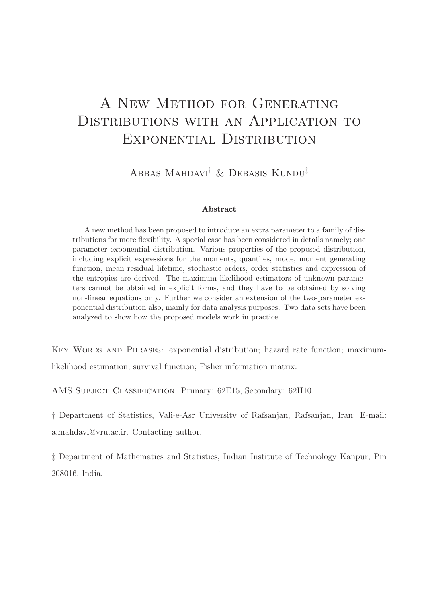# A New Method for Generating DISTRIBUTIONS WITH AN APPLICATION TO EXPONENTIAL DISTRIBUTION

Abbas Mahdavi† & Debasis Kundu‡

#### Abstract

A new method has been proposed to introduce an extra parameter to a family of distributions for more flexibility. A special case has been considered in details namely; one parameter exponential distribution. Various properties of the proposed distribution, including explicit expressions for the moments, quantiles, mode, moment generating function, mean residual lifetime, stochastic orders, order statistics and expression of the entropies are derived. The maximum likelihood estimators of unknown parameters cannot be obtained in explicit forms, and they have to be obtained by solving non-linear equations only. Further we consider an extension of the two-parameter exponential distribution also, mainly for data analysis purposes. Two data sets have been analyzed to show how the proposed models work in practice.

KEY WORDS AND PHRASES: exponential distribution; hazard rate function; maximumlikelihood estimation; survival function; Fisher information matrix.

AMS Subject Classification: Primary: 62E15, Secondary: 62H10.

† Department of Statistics, Vali-e-Asr University of Rafsanjan, Rafsanjan, Iran; E-mail: a.mahdavi@vru.ac.ir. Contacting author.

‡ Department of Mathematics and Statistics, Indian Institute of Technology Kanpur, Pin 208016, India.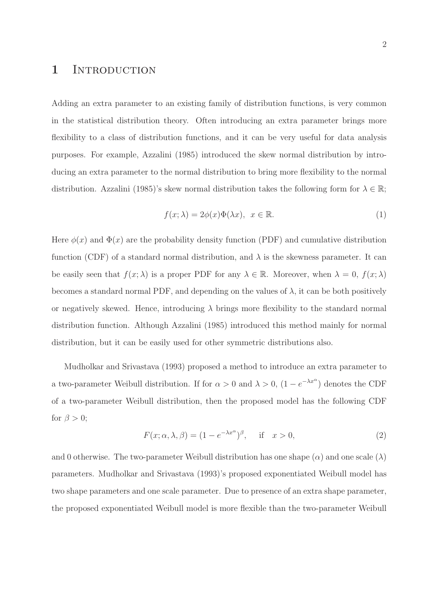#### 1 INTRODUCTION

Adding an extra parameter to an existing family of distribution functions, is very common in the statistical distribution theory. Often introducing an extra parameter brings more flexibility to a class of distribution functions, and it can be very useful for data analysis purposes. For example, Azzalini (1985) introduced the skew normal distribution by introducing an extra parameter to the normal distribution to bring more flexibility to the normal distribution. Azzalini (1985)'s skew normal distribution takes the following form for  $\lambda \in \mathbb{R}$ ;

$$
f(x; \lambda) = 2\phi(x)\Phi(\lambda x), \quad x \in \mathbb{R}.
$$
 (1)

Here  $\phi(x)$  and  $\Phi(x)$  are the probability density function (PDF) and cumulative distribution function (CDF) of a standard normal distribution, and  $\lambda$  is the skewness parameter. It can be easily seen that  $f(x; \lambda)$  is a proper PDF for any  $\lambda \in \mathbb{R}$ . Moreover, when  $\lambda = 0$ ,  $f(x; \lambda)$ becomes a standard normal PDF, and depending on the values of  $\lambda$ , it can be both positively or negatively skewed. Hence, introducing  $\lambda$  brings more flexibility to the standard normal distribution function. Although Azzalini (1985) introduced this method mainly for normal distribution, but it can be easily used for other symmetric distributions also.

Mudholkar and Srivastava (1993) proposed a method to introduce an extra parameter to a two-parameter Weibull distribution. If for  $\alpha > 0$  and  $\lambda > 0$ ,  $(1 - e^{-\lambda x^{\alpha}})$  denotes the CDF of a two-parameter Weibull distribution, then the proposed model has the following CDF for  $\beta > 0$ ;

$$
F(x; \alpha, \lambda, \beta) = (1 - e^{-\lambda x^{\alpha}})^{\beta}, \quad \text{if} \quad x > 0,
$$
 (2)

and 0 otherwise. The two-parameter Weibull distribution has one shape  $(\alpha)$  and one scale  $(\lambda)$ parameters. Mudholkar and Srivastava (1993)'s proposed exponentiated Weibull model has two shape parameters and one scale parameter. Due to presence of an extra shape parameter, the proposed exponentiated Weibull model is more flexible than the two-parameter Weibull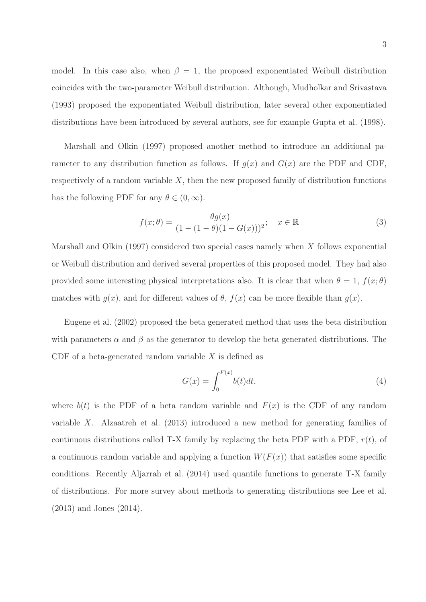model. In this case also, when  $\beta = 1$ , the proposed exponentiated Weibull distribution coincides with the two-parameter Weibull distribution. Although, Mudholkar and Srivastava (1993) proposed the exponentiated Weibull distribution, later several other exponentiated distributions have been introduced by several authors, see for example Gupta et al. (1998).

Marshall and Olkin (1997) proposed another method to introduce an additional parameter to any distribution function as follows. If  $g(x)$  and  $G(x)$  are the PDF and CDF, respectively of a random variable  $X$ , then the new proposed family of distribution functions has the following PDF for any  $\theta \in (0,\infty)$ .

$$
f(x; \theta) = \frac{\theta g(x)}{(1 - (1 - \theta)(1 - G(x)))^2}; \quad x \in \mathbb{R}
$$
 (3)

Marshall and Olkin (1997) considered two special cases namely when X follows exponential or Weibull distribution and derived several properties of this proposed model. They had also provided some interesting physical interpretations also. It is clear that when  $\theta = 1$ ,  $f(x; \theta)$ matches with  $g(x)$ , and for different values of  $\theta$ ,  $f(x)$  can be more flexible than  $g(x)$ .

Eugene et al. (2002) proposed the beta generated method that uses the beta distribution with parameters  $\alpha$  and  $\beta$  as the generator to develop the beta generated distributions. The CDF of a beta-generated random variable  $X$  is defined as

$$
G(x) = \int_0^{F(x)} b(t)dt,
$$
\n(4)

where  $b(t)$  is the PDF of a beta random variable and  $F(x)$  is the CDF of any random variable X. Alzaatreh et al. (2013) introduced a new method for generating families of continuous distributions called T-X family by replacing the beta PDF with a PDF,  $r(t)$ , of a continuous random variable and applying a function  $W(F(x))$  that satisfies some specific conditions. Recently Aljarrah et al. (2014) used quantile functions to generate T-X family of distributions. For more survey about methods to generating distributions see Lee et al. (2013) and Jones (2014).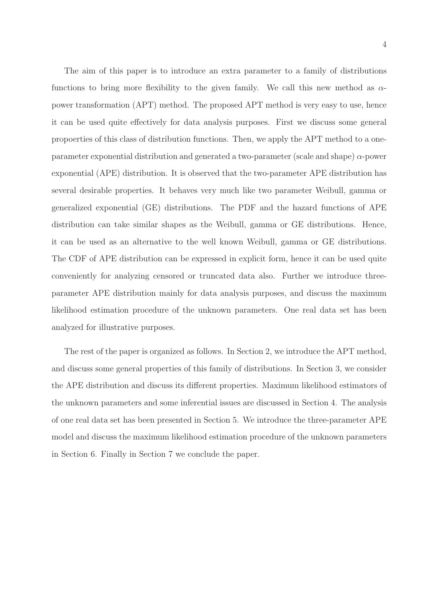The aim of this paper is to introduce an extra parameter to a family of distributions functions to bring more flexibility to the given family. We call this new method as  $\alpha$ power transformation (APT) method. The proposed APT method is very easy to use, hence it can be used quite effectively for data analysis purposes. First we discuss some general propoerties of this class of distribution functions. Then, we apply the APT method to a oneparameter exponential distribution and generated a two-parameter (scale and shape)  $\alpha$ -power exponential (APE) distribution. It is observed that the two-parameter APE distribution has several desirable properties. It behaves very much like two parameter Weibull, gamma or generalized exponential (GE) distributions. The PDF and the hazard functions of APE distribution can take similar shapes as the Weibull, gamma or GE distributions. Hence, it can be used as an alternative to the well known Weibull, gamma or GE distributions. The CDF of APE distribution can be expressed in explicit form, hence it can be used quite conveniently for analyzing censored or truncated data also. Further we introduce threeparameter APE distribution mainly for data analysis purposes, and discuss the maximum likelihood estimation procedure of the unknown parameters. One real data set has been analyzed for illustrative purposes.

The rest of the paper is organized as follows. In Section 2, we introduce the APT method, and discuss some general properties of this family of distributions. In Section 3, we consider the APE distribution and discuss its different properties. Maximum likelihood estimators of the unknown parameters and some inferential issues are discussed in Section 4. The analysis of one real data set has been presented in Section 5. We introduce the three-parameter APE model and discuss the maximum likelihood estimation procedure of the unknown parameters in Section 6. Finally in Section 7 we conclude the paper.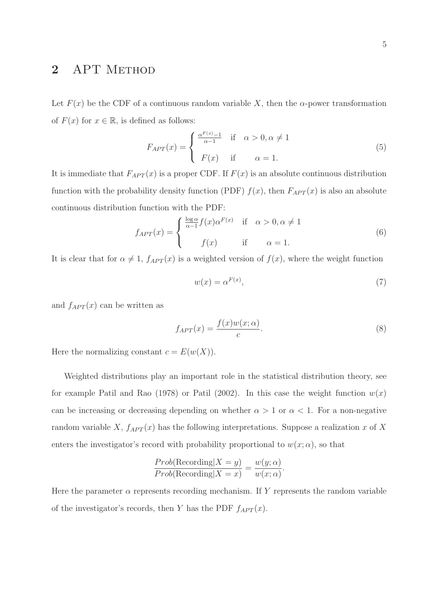### 2 APT METHOD

Let  $F(x)$  be the CDF of a continuous random variable X, then the  $\alpha$ -power transformation of  $F(x)$  for  $x \in \mathbb{R}$ , is defined as follows:

$$
F_{APT}(x) = \begin{cases} \frac{\alpha^{F(x)} - 1}{\alpha - 1} & \text{if } \alpha > 0, \alpha \neq 1\\ F(x) & \text{if } \alpha = 1. \end{cases}
$$
(5)

It is immediate that  $F_{APT}(x)$  is a proper CDF. If  $F(x)$  is an absolute continuous distribution function with the probability density function (PDF)  $f(x)$ , then  $F_{APT}(x)$  is also an absolute continuous distribution function with the PDF:

$$
f_{APT}(x) = \begin{cases} \frac{\log \alpha}{\alpha - 1} f(x) \alpha^{F(x)} & \text{if } \alpha > 0, \alpha \neq 1\\ f(x) & \text{if } \alpha = 1. \end{cases}
$$
(6)

It is clear that for  $\alpha \neq 1$ ,  $f_{APT}(x)$  is a weighted version of  $f(x)$ , where the weight function

$$
w(x) = \alpha^{F(x)},\tag{7}
$$

and  $f_{APT}(x)$  can be written as

$$
f_{APT}(x) = \frac{f(x)w(x; \alpha)}{c}.
$$
\n(8)

Here the normalizing constant  $c = E(w(X))$ .

Weighted distributions play an important role in the statistical distribution theory, see for example Patil and Rao (1978) or Patil (2002). In this case the weight function  $w(x)$ can be increasing or decreasing depending on whether  $\alpha > 1$  or  $\alpha < 1$ . For a non-negative random variable X,  $f_{APT}(x)$  has the following interpretations. Suppose a realization x of X enters the investigator's record with probability proportional to  $w(x; \alpha)$ , so that

$$
\frac{Prob(\text{Reording}|X=y)}{Prob(\text{Reording}|X=x)} = \frac{w(y;\alpha)}{w(x;\alpha)}.
$$

Here the parameter  $\alpha$  represents recording mechanism. If Y represents the random variable of the investigator's records, then Y has the PDF  $f_{APT}(x)$ .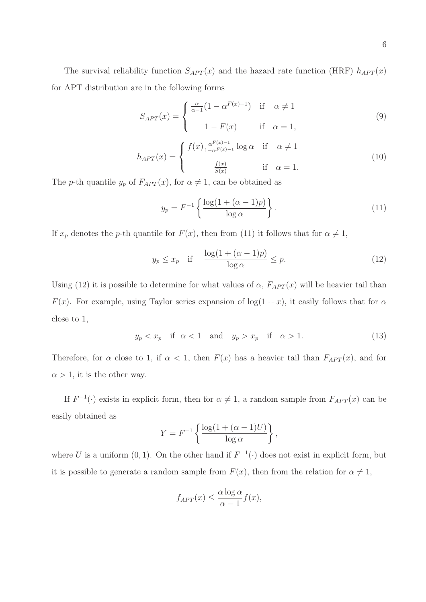The survival reliability function  $S_{APT}(x)$  and the hazard rate function (HRF)  $h_{APT}(x)$ for APT distribution are in the following forms

$$
S_{APT}(x) = \begin{cases} \frac{\alpha}{\alpha - 1} (1 - \alpha^{F(x) - 1}) & \text{if } \alpha \neq 1 \\ 1 - F(x) & \text{if } \alpha = 1, \end{cases}
$$
(9)

$$
h_{APT}(x) = \begin{cases} f(x) \frac{\alpha^{F(x)-1}}{1-\alpha^{F(x)-1}} \log \alpha & \text{if } \alpha \neq 1\\ \frac{f(x)}{S(x)} & \text{if } \alpha = 1. \end{cases}
$$
 (10)

The p-th quantile  $y_p$  of  $F_{APT}(x)$ , for  $\alpha \neq 1$ , can be obtained as

$$
y_p = F^{-1} \left\{ \frac{\log(1 + (\alpha - 1)p)}{\log \alpha} \right\}.
$$
 (11)

If  $x_p$  denotes the p-th quantile for  $F(x)$ , then from (11) it follows that for  $\alpha \neq 1$ ,

$$
y_p \le x_p \quad \text{if} \quad \frac{\log(1 + (\alpha - 1)p)}{\log \alpha} \le p. \tag{12}
$$

Using (12) it is possible to determine for what values of  $\alpha$ ,  $F_{APT}(x)$  will be heavier tail than  $F(x)$ . For example, using Taylor series expansion of  $log(1 + x)$ , it easily follows that for  $\alpha$ close to 1,

$$
y_p < x_p \quad \text{if} \quad \alpha < 1 \quad \text{and} \quad y_p > x_p \quad \text{if} \quad \alpha > 1. \tag{13}
$$

Therefore, for  $\alpha$  close to 1, if  $\alpha < 1$ , then  $F(x)$  has a heavier tail than  $F_{APT}(x)$ , and for  $\alpha > 1$ , it is the other way.

If  $F^{-1}(\cdot)$  exists in explicit form, then for  $\alpha \neq 1$ , a random sample from  $F_{APT}(x)$  can be easily obtained as

$$
Y = F^{-1} \left\{ \frac{\log(1 + (\alpha - 1)U)}{\log \alpha} \right\},\,
$$

where U is a uniform  $(0, 1)$ . On the other hand if  $F^{-1}(\cdot)$  does not exist in explicit form, but it is possible to generate a random sample from  $F(x)$ , then from the relation for  $\alpha \neq 1$ ,

$$
f_{APT}(x) \le \frac{\alpha \log \alpha}{\alpha - 1} f(x),
$$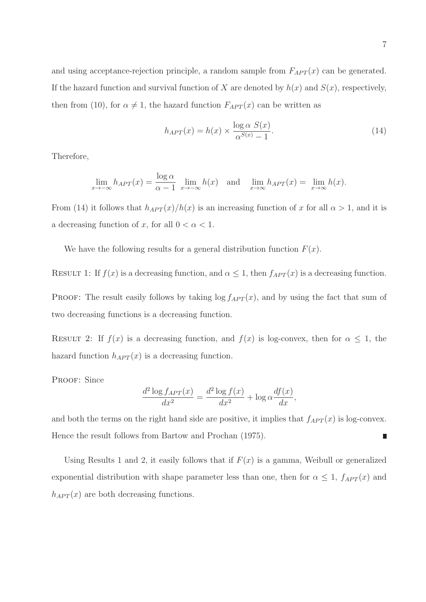and using acceptance-rejection principle, a random sample from  $F_{APT}(x)$  can be generated. If the hazard function and survival function of X are denoted by  $h(x)$  and  $S(x)$ , respectively, then from (10), for  $\alpha \neq 1$ , the hazard function  $F_{APT}(x)$  can be written as

$$
h_{APT}(x) = h(x) \times \frac{\log \alpha \ S(x)}{\alpha^{S(x)} - 1}.
$$
\n(14)

Therefore,

$$
\lim_{x \to -\infty} h_{APT}(x) = \frac{\log \alpha}{\alpha - 1} \lim_{x \to -\infty} h(x) \text{ and } \lim_{x \to \infty} h_{APT}(x) = \lim_{x \to \infty} h(x).
$$

From (14) it follows that  $h_{APT}(x)/h(x)$  is an increasing function of x for all  $\alpha > 1$ , and it is a decreasing function of x, for all  $0 < \alpha < 1$ .

We have the following results for a general distribution function  $F(x)$ .

RESULT 1: If  $f(x)$  is a decreasing function, and  $\alpha \leq 1$ , then  $f_{APT}(x)$  is a decreasing function.

PROOF: The result easily follows by taking  $\log f_{APT}(x)$ , and by using the fact that sum of two decreasing functions is a decreasing function.

RESULT 2: If  $f(x)$  is a decreasing function, and  $f(x)$  is log-convex, then for  $\alpha \leq 1$ , the hazard function  $h_{APT}(x)$  is a decreasing function.

PROOF: Since

$$
\frac{d^2 \log f_{APT}(x)}{dx^2} = \frac{d^2 \log f(x)}{dx^2} + \log \alpha \frac{df(x)}{dx},
$$

and both the terms on the right hand side are positive, it implies that  $f_{APT}(x)$  is log-convex. Hence the result follows from Bartow and Prochan (1975). Π

Using Results 1 and 2, it easily follows that if  $F(x)$  is a gamma, Weibull or generalized exponential distribution with shape parameter less than one, then for  $\alpha \leq 1$ ,  $f_{APT}(x)$  and  $h_{APT}(x)$  are both decreasing functions.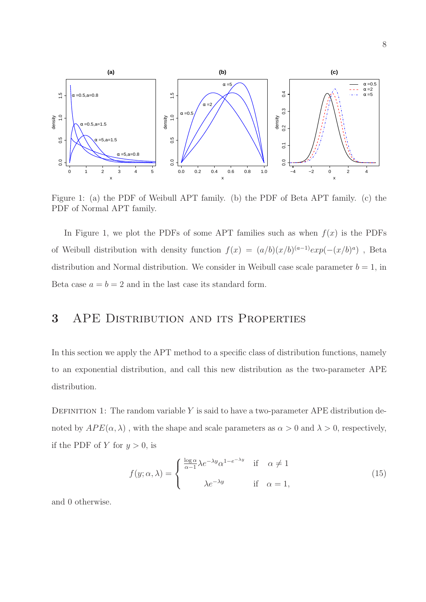

Figure 1: (a) the PDF of Weibull APT family. (b) the PDF of Beta APT family. (c) the PDF of Normal APT family.

In Figure 1, we plot the PDFs of some APT families such as when  $f(x)$  is the PDFs of Weibull distribution with density function  $f(x) = (a/b)(x/b)^{(a-1)} exp(-(x/b)^a)$ , Beta distribution and Normal distribution. We consider in Weibull case scale parameter  $b = 1$ , in Beta case  $a = b = 2$  and in the last case its standard form.

### 3 APE Distribution and its Properties

In this section we apply the APT method to a specific class of distribution functions, namely to an exponential distribution, and call this new distribution as the two-parameter APE distribution.

DEFINITION 1: The random variable Y is said to have a two-parameter APE distribution denoted by  $APE(\alpha, \lambda)$ , with the shape and scale parameters as  $\alpha > 0$  and  $\lambda > 0$ , respectively, if the PDF of Y for  $y > 0$ , is

$$
f(y; \alpha, \lambda) = \begin{cases} \frac{\log \alpha}{\alpha - 1} \lambda e^{-\lambda y} \alpha^{1 - e^{-\lambda y}} & \text{if } \alpha \neq 1\\ \lambda e^{-\lambda y} & \text{if } \alpha = 1, \end{cases}
$$
 (15)

and 0 otherwise.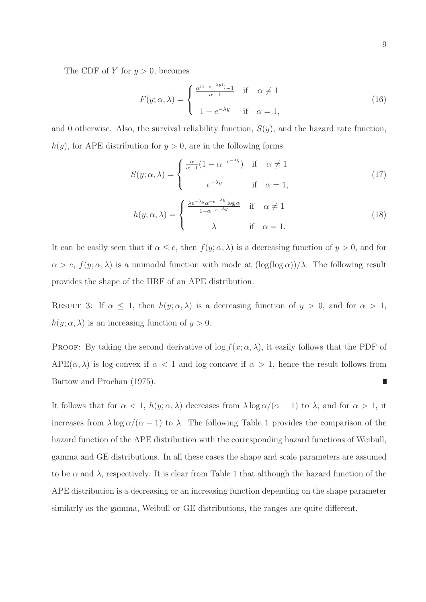The CDF of Y for  $y > 0$ , becomes

$$
F(y; \alpha, \lambda) = \begin{cases} \frac{\alpha^{(1 - e^{-\lambda y})} - 1}{\alpha - 1} & \text{if } \alpha \neq 1 \\ 1 - e^{-\lambda y} & \text{if } \alpha = 1, \end{cases}
$$
 (16)

and 0 otherwise. Also, the survival reliability function,  $S(y)$ , and the hazard rate function,  $h(y)$ , for APE distribution for  $y > 0$ , are in the following forms

$$
S(y; \alpha, \lambda) = \begin{cases} \frac{\alpha}{\alpha - 1} (1 - \alpha^{-e^{-\lambda y}}) & \text{if } \alpha \neq 1 \\ e^{-\lambda y} & \text{if } \alpha = 1, \end{cases}
$$
 (17)

$$
h(y; \alpha, \lambda) = \begin{cases} \frac{\lambda e^{-\lambda y} \alpha^{-e^{-\lambda y} \log \alpha}}{1 - \alpha^{-e^{-\lambda y}}} & \text{if } \alpha \neq 1\\ \lambda & \text{if } \alpha = 1. \end{cases}
$$
 (18)

It can be easily seen that if  $\alpha \leq e$ , then  $f(y; \alpha, \lambda)$  is a decreasing function of  $y > 0$ , and for  $\alpha > e$ ,  $f(y; \alpha, \lambda)$  is a unimodal function with mode at  $(\log(\log \alpha))/\lambda$ . The following result provides the shape of the HRF of an APE distribution.

RESULT 3: If  $\alpha \leq 1$ , then  $h(y; \alpha, \lambda)$  is a decreasing function of  $y > 0$ , and for  $\alpha > 1$ ,  $h(y; \alpha, \lambda)$  is an increasing function of  $y > 0$ .

PROOF: By taking the second derivative of  $\log f(x; \alpha, \lambda)$ , it easily follows that the PDF of APE( $\alpha$ ,  $\lambda$ ) is log-convex if  $\alpha$  < 1 and log-concave if  $\alpha$  > 1, hence the result follows from Bartow and Prochan (1975). П

It follows that for  $\alpha < 1$ ,  $h(y; \alpha, \lambda)$  decreases from  $\lambda \log \alpha/(\alpha - 1)$  to  $\lambda$ , and for  $\alpha > 1$ , it increases from  $\lambda \log \alpha/(\alpha - 1)$  to  $\lambda$ . The following Table 1 provides the comparison of the hazard function of the APE distribution with the corresponding hazard functions of Weibull, gamma and GE distributions. In all these cases the shape and scale parameters are assumed to be  $\alpha$  and  $\lambda$ , respectively. It is clear from Table 1 that although the hazard function of the APE distribution is a decreasing or an increasing function depending on the shape parameter similarly as the gamma, Weibull or GE distributions, the ranges are quite different.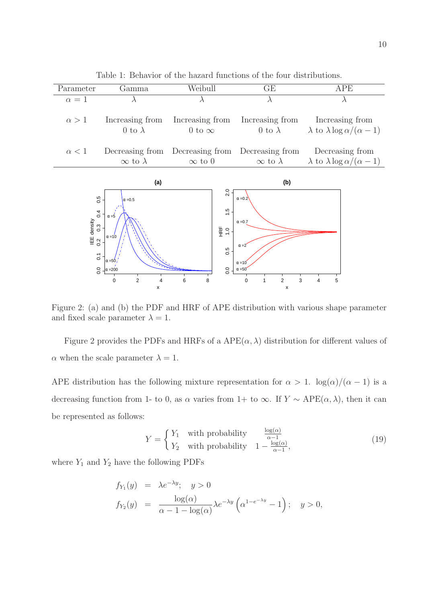| Parameter                                                                            | Gamma                                                                                                                         | Weibull                                                                     | GE                                                                                                                                | APE                                                                |  |
|--------------------------------------------------------------------------------------|-------------------------------------------------------------------------------------------------------------------------------|-----------------------------------------------------------------------------|-----------------------------------------------------------------------------------------------------------------------------------|--------------------------------------------------------------------|--|
| $\alpha=1$                                                                           | $\lambda$                                                                                                                     | $\lambda$                                                                   | $\lambda$                                                                                                                         | $\lambda$                                                          |  |
| $\alpha > 1$                                                                         | Increasing from<br>0 to $\lambda$                                                                                             | Increasing from<br>0 to $\infty$                                            | Increasing from<br>0 to $\lambda$                                                                                                 | Increasing from<br>$\lambda$ to $\lambda \log \alpha/(\alpha - 1)$ |  |
| $\alpha < 1$                                                                         | Decreasing from Decreasing from Decreasing from                                                                               |                                                                             |                                                                                                                                   | Decreasing from                                                    |  |
|                                                                                      | $\infty$ to $\lambda$                                                                                                         | $\infty$ to 0                                                               | $\infty$ to $\lambda$                                                                                                             | $\lambda$ to $\lambda \log \alpha/(\alpha - 1)$                    |  |
| (a)                                                                                  |                                                                                                                               |                                                                             | (b)                                                                                                                               |                                                                    |  |
| 0.5<br>0.4<br><b>IEE</b> density<br>$0.\overline{3}$<br>0.2<br>$\overline{c}$<br>0.0 | $\alpha = 0.5$<br>$\alpha = 5$<br>$\alpha = 10$<br>$\alpha = 50$<br>$\alpha = 200$<br>$\overline{2}$<br>$\mathbf 0$<br>4<br>x | $\frac{1}{2}$<br>$\ddot{1}$<br>HRF<br>$\frac{0}{1}$<br>0.5<br>0.0<br>6<br>8 | $\alpha = 0.2$<br>$\alpha = 0.7$<br>$\alpha = 2^{r}$<br>$\alpha = 10$<br>$\alpha = 50$<br>$\overline{2}$<br>$\mathbf 0$<br>3<br>X | 5<br>4                                                             |  |

Table 1: Behavior of the hazard functions of the four distributions.

Figure 2: (a) and (b) the PDF and HRF of APE distribution with various shape parameter and fixed scale parameter  $\lambda = 1$ .

Figure 2 provides the PDFs and HRFs of a  $APE(\alpha, \lambda)$  distribution for different values of  $\alpha$  when the scale parameter  $\lambda = 1$ .

APE distribution has the following mixture representation for  $\alpha > 1$ .  $\log(\alpha)/(\alpha - 1)$  is a decreasing function from 1- to 0, as  $\alpha$  varies from 1+ to  $\infty$ . If  $Y \sim \text{APE}(\alpha, \lambda)$ , then it can be represented as follows:

$$
Y = \begin{cases} Y_1 & \text{with probability} \\ Y_2 & \text{with probability} \end{cases} \quad \frac{\frac{\log(\alpha)}{\alpha - 1}}{1 - \frac{\log(\alpha)}{\alpha - 1}},\tag{19}
$$

where  $Y_1$  and  $Y_2$  have the following PDFs

$$
f_{Y_1}(y) = \lambda e^{-\lambda y}; \quad y > 0
$$
  
\n
$$
f_{Y_2}(y) = \frac{\log(\alpha)}{\alpha - 1 - \log(\alpha)} \lambda e^{-\lambda y} \left(\alpha^{1 - e^{-\lambda y}} - 1\right); \quad y > 0,
$$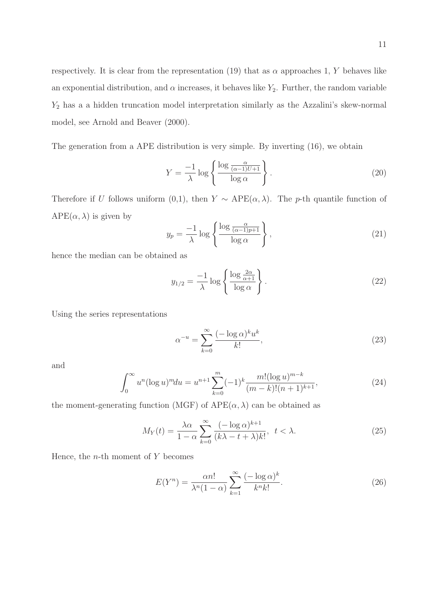respectively. It is clear from the representation (19) that as  $\alpha$  approaches 1, Y behaves like an exponential distribution, and  $\alpha$  increases, it behaves like  $Y_2$ . Further, the random variable  $Y_2$  has a a hidden truncation model interpretation similarly as the Azzalini's skew-normal model, see Arnold and Beaver (2000).

The generation from a APE distribution is very simple. By inverting (16), we obtain

$$
Y = \frac{-1}{\lambda} \log \left\{ \frac{\log \frac{\alpha}{(\alpha - 1)U + 1}}{\log \alpha} \right\}.
$$
 (20)

Therefore if U follows uniform (0,1), then  $Y \sim \text{APE}(\alpha, \lambda)$ . The p-th quantile function of  $APE(\alpha, \lambda)$  is given by

$$
y_p = \frac{-1}{\lambda} \log \left\{ \frac{\log \frac{\alpha}{(\alpha - 1)p + 1}}{\log \alpha} \right\},\tag{21}
$$

hence the median can be obtained as

$$
y_{1/2} = \frac{-1}{\lambda} \log \left\{ \frac{\log \frac{2\alpha}{\alpha + 1}}{\log \alpha} \right\}.
$$
 (22)

Using the series representations

$$
\alpha^{-u} = \sum_{k=0}^{\infty} \frac{(-\log \alpha)^k u^k}{k!},\tag{23}
$$

and

$$
\int_0^\infty u^n (\log u)^m du = u^{n+1} \sum_{k=0}^m (-1)^k \frac{m! (\log u)^{m-k}}{(m-k)!(n+1)^{k+1}},\tag{24}
$$

the moment-generating function (MGF) of  $APE(\alpha, \lambda)$  can be obtained as

$$
M_Y(t) = \frac{\lambda \alpha}{1 - \alpha} \sum_{k=0}^{\infty} \frac{(-\log \alpha)^{k+1}}{(k\lambda - t + \lambda)k!}, \ t < \lambda.
$$
 (25)

Hence, the  $n$ -th moment of  $Y$  becomes

$$
E(Y^n) = \frac{\alpha n!}{\lambda^n (1 - \alpha)} \sum_{k=1}^{\infty} \frac{(-\log \alpha)^k}{k^n k!}.
$$
 (26)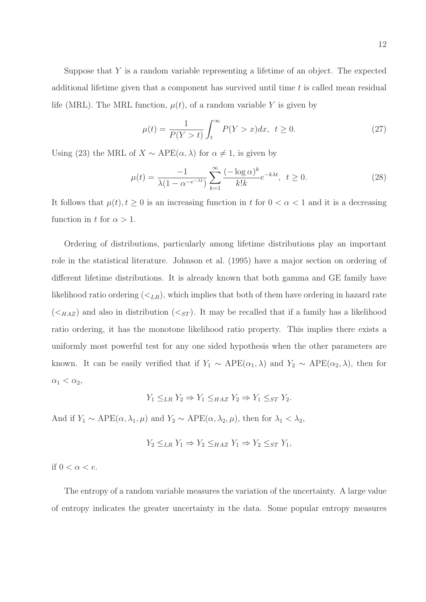Suppose that  $Y$  is a random variable representing a lifetime of an object. The expected additional lifetime given that a component has survived until time  $t$  is called mean residual life (MRL). The MRL function,  $\mu(t)$ , of a random variable Y is given by

$$
\mu(t) = \frac{1}{P(Y > t)} \int_{t}^{\infty} P(Y > x) dx, \ t \ge 0.
$$
\n(27)

Using (23) the MRL of  $X \sim \text{APE}(\alpha, \lambda)$  for  $\alpha \neq 1$ , is given by

$$
\mu(t) = \frac{-1}{\lambda(1 - \alpha^{-e^{-\lambda t}})} \sum_{k=1}^{\infty} \frac{(-\log \alpha)^k}{k!k} e^{-k\lambda t}, \quad t \ge 0.
$$
\n(28)

It follows that  $\mu(t)$ ,  $t \geq 0$  is an increasing function in t for  $0 < \alpha < 1$  and it is a decreasing function in t for  $\alpha > 1$ .

Ordering of distributions, particularly among lifetime distributions play an important role in the statistical literature. Johnson et al. (1995) have a major section on ordering of different lifetime distributions. It is already known that both gamma and GE family have likelihood ratio ordering  $(\langle L_R \rangle)$ , which implies that both of them have ordering in hazard rate  $(<sub>HAZ</sub>)$  and also in distribution  $(<sub>ST</sub>)$ . It may be recalled that if a family has a likelihood ratio ordering, it has the monotone likelihood ratio property. This implies there exists a uniformly most powerful test for any one sided hypothesis when the other parameters are known. It can be easily verified that if  $Y_1 \sim \text{APE}(\alpha_1, \lambda)$  and  $Y_2 \sim \text{APE}(\alpha_2, \lambda)$ , then for  $\alpha_1 < \alpha_2$ ,

$$
Y_1 \leq_{LR} Y_2 \Rightarrow Y_1 \leq_{HAZ} Y_2 \Rightarrow Y_1 \leq_{ST} Y_2.
$$

And if  $Y_1 \sim \text{APE}(\alpha, \lambda_1, \mu)$  and  $Y_2 \sim \text{APE}(\alpha, \lambda_2, \mu)$ , then for  $\lambda_1 < \lambda_2$ ,

$$
Y_2 \leq_{LR} Y_1 \Rightarrow Y_2 \leq_{HAZ} Y_1 \Rightarrow Y_2 \leq_{ST} Y_1,
$$

if  $0 < \alpha < e$ .

The entropy of a random variable measures the variation of the uncertainty. A large value of entropy indicates the greater uncertainty in the data. Some popular entropy measures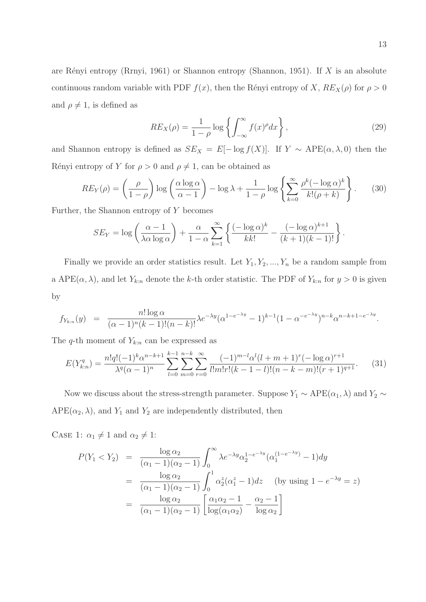are Rényi entropy (Rrnyi, 1961) or Shannon entropy (Shannon, 1951). If  $X$  is an absolute continuous random variable with PDF  $f(x)$ , then the Rényi entropy of X,  $RE_X(\rho)$  for  $\rho > 0$ and  $\rho \neq 1$ , is defined as

$$
RE_X(\rho) = \frac{1}{1-\rho} \log \left\{ \int_{-\infty}^{\infty} f(x)^{\rho} dx \right\},\tag{29}
$$

and Shannon entropy is defined as  $SE_X = E[-\log f(X)]$ . If  $Y \sim \text{APE}(\alpha, \lambda, 0)$  then the Rényi entropy of Y for  $\rho > 0$  and  $\rho \neq 1$ , can be obtained as

$$
RE_Y(\rho) = \left(\frac{\rho}{1-\rho}\right) \log \left(\frac{\alpha \log \alpha}{\alpha - 1}\right) - \log \lambda + \frac{1}{1-\rho} \log \left\{ \sum_{k=0}^{\infty} \frac{\rho^k (-\log \alpha)^k}{k! (\rho + k)} \right\}.
$$
 (30)

Further, the Shannon entropy of Y becomes

$$
SE_Y = \log\left(\frac{\alpha - 1}{\lambda \alpha \log \alpha}\right) + \frac{\alpha}{1 - \alpha} \sum_{k=1}^{\infty} \left\{ \frac{(-\log \alpha)^k}{k k!} - \frac{(-\log \alpha)^{k+1}}{(k+1)(k-1)!} \right\}.
$$

Finally we provide an order statistics result. Let  $Y_1, Y_2, ..., Y_n$  be a random sample from a APE( $\alpha$ ,  $\lambda$ ), and let  $Y_{k:n}$  denote the k-th order statistic. The PDF of  $Y_{k:n}$  for  $y > 0$  is given by

$$
f_{Y_{k:n}}(y) = \frac{n! \log \alpha}{(\alpha - 1)^n (k - 1)!(n - k)!} \lambda e^{-\lambda y} (\alpha^{1 - e^{-\lambda y}} - 1)^{k - 1} (1 - \alpha^{-e^{-\lambda y}})^{n - k} \alpha^{n - k + 1 - e^{-\lambda y}}.
$$

The q-th moment of  $Y_{k:n}$  can be expressed as

$$
E(Y_{k:n}^q) = \frac{n!q!(-1)^k \alpha^{n-k+1}}{\lambda^q (\alpha-1)^n} \sum_{l=0}^{k-1} \sum_{m=0}^{n-k} \sum_{r=0}^{\infty} \frac{(-1)^{m-l} \alpha^l (l+m+1)^r (-\log \alpha)^{r+1}}{l!m!r!(k-1-l)!(n-k-m)!(r+1)^{q+1}}.
$$
 (31)

Now we discuss about the stress-strength parameter. Suppose  $Y_1 \sim \text{APE}(\alpha_1, \lambda)$  and  $Y_2 \sim$  $APE(\alpha_2, \lambda)$ , and  $Y_1$  and  $Y_2$  are independently distributed, then

CASE 1:  $\alpha_1 \neq 1$  and  $\alpha_2 \neq 1$ :

$$
P(Y_1 < Y_2) = \frac{\log \alpha_2}{(\alpha_1 - 1)(\alpha_2 - 1)} \int_0^\infty \lambda e^{-\lambda y} \alpha_2^{1 - e^{-\lambda y}} (\alpha_1^{(1 - e^{-\lambda y})} - 1) dy
$$
\n
$$
= \frac{\log \alpha_2}{(\alpha_1 - 1)(\alpha_2 - 1)} \int_0^1 \alpha_2^z (\alpha_1^z - 1) dz \quad \text{(by using } 1 - e^{-\lambda y} = z\text{)}
$$
\n
$$
= \frac{\log \alpha_2}{(\alpha_1 - 1)(\alpha_2 - 1)} \left[ \frac{\alpha_1 \alpha_2 - 1}{\log(\alpha_1 \alpha_2)} - \frac{\alpha_2 - 1}{\log \alpha_2} \right]
$$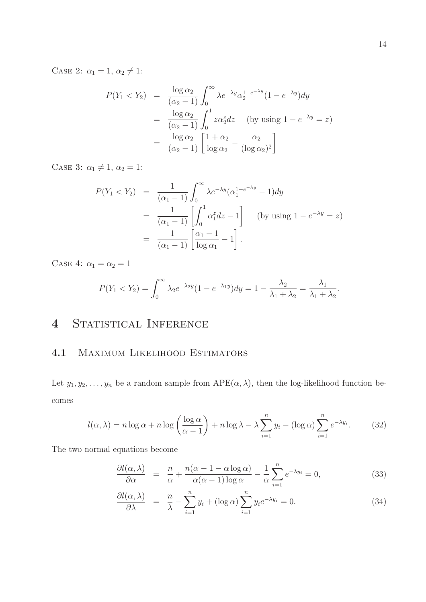CASE 2:  $\alpha_1 = 1, \alpha_2 \neq 1$ :

$$
P(Y_1 < Y_2) = \frac{\log \alpha_2}{(\alpha_2 - 1)} \int_0^\infty \lambda e^{-\lambda y} \alpha_2^{1 - e^{-\lambda y}} (1 - e^{-\lambda y}) dy
$$
  
\n
$$
= \frac{\log \alpha_2}{(\alpha_2 - 1)} \int_0^1 z \alpha_2^z dz \quad \text{(by using } 1 - e^{-\lambda y} = z\text{)}
$$
  
\n
$$
= \frac{\log \alpha_2}{(\alpha_2 - 1)} \left[ \frac{1 + \alpha_2}{\log \alpha_2} - \frac{\alpha_2}{(\log \alpha_2)^2} \right]
$$

CASE 3:  $\alpha_1 \neq 1, \alpha_2 = 1$ :

$$
P(Y_1 < Y_2) = \frac{1}{(\alpha_1 - 1)} \int_0^\infty \lambda e^{-\lambda y} (\alpha_1^{1 - e^{-\lambda y}} - 1) dy
$$
  
= 
$$
\frac{1}{(\alpha_1 - 1)} \left[ \int_0^1 \alpha_1^z dz - 1 \right] \quad \text{(by using } 1 - e^{-\lambda y} = z)
$$
  
= 
$$
\frac{1}{(\alpha_1 - 1)} \left[ \frac{\alpha_1 - 1}{\log \alpha_1} - 1 \right].
$$

CASE 4:  $\alpha_1 = \alpha_2 = 1$ 

$$
P(Y_1 < Y_2) = \int_0^\infty \lambda_2 e^{-\lambda_2 y} (1 - e^{-\lambda_1 y}) dy = 1 - \frac{\lambda_2}{\lambda_1 + \lambda_2} = \frac{\lambda_1}{\lambda_1 + \lambda_2}.
$$

## 4 STATISTICAL INFERENCE

#### 4.1 Maximum Likelihood Estimators

Let  $y_1, y_2, \ldots, y_n$  be a random sample from  $\text{APE}(\alpha, \lambda)$ , then the log-likelihood function becomes

$$
l(\alpha, \lambda) = n \log \alpha + n \log \left( \frac{\log \alpha}{\alpha - 1} \right) + n \log \lambda - \lambda \sum_{i=1}^{n} y_i - (\log \alpha) \sum_{i=1}^{n} e^{-\lambda y_i}.
$$
 (32)

The two normal equations become

$$
\frac{\partial l(\alpha,\lambda)}{\partial \alpha} = \frac{n}{\alpha} + \frac{n(\alpha - 1 - \alpha \log \alpha)}{\alpha(\alpha - 1) \log \alpha} - \frac{1}{\alpha} \sum_{i=1}^{n} e^{-\lambda y_i} = 0,
$$
\n(33)

$$
\frac{\partial l(\alpha,\lambda)}{\partial \lambda} = \frac{n}{\lambda} - \sum_{i=1}^{n} y_i + (\log \alpha) \sum_{i=1}^{n} y_i e^{-\lambda y_i} = 0.
$$
 (34)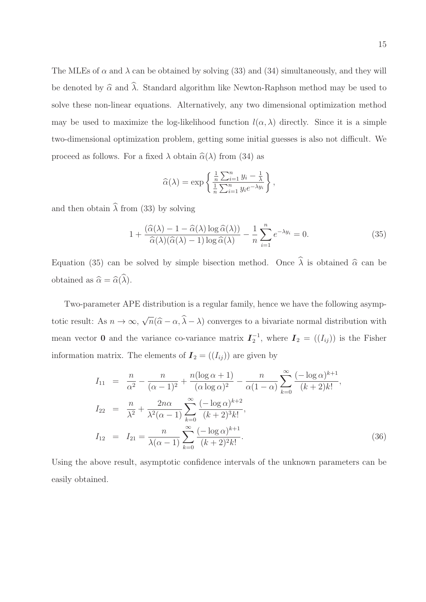The MLEs of  $\alpha$  and  $\lambda$  can be obtained by solving (33) and (34) simultaneously, and they will be denoted by  $\hat{\alpha}$  and  $\hat{\lambda}$ . Standard algorithm like Newton-Raphson method may be used to solve these non-linear equations. Alternatively, any two dimensional optimization method may be used to maximize the log-likelihood function  $l(\alpha, \lambda)$  directly. Since it is a simple two-dimensional optimization problem, getting some initial guesses is also not difficult. We proceed as follows. For a fixed  $\lambda$  obtain  $\hat{\alpha}(\lambda)$  from (34) as

$$
\widehat{\alpha}(\lambda) = \exp\left\{\frac{\frac{1}{n}\sum_{i=1}^{n}y_i - \frac{1}{\lambda}}{\frac{1}{n}\sum_{i=1}^{n}y_i e^{-\lambda y_i}}\right\},\,
$$

and then obtain  $\hat{\lambda}$  from (33) by solving

$$
1 + \frac{(\widehat{\alpha}(\lambda) - 1 - \widehat{\alpha}(\lambda) \log \widehat{\alpha}(\lambda))}{\widehat{\alpha}(\lambda)(\widehat{\alpha}(\lambda) - 1) \log \widehat{\alpha}(\lambda)} - \frac{1}{n} \sum_{i=1}^{n} e^{-\lambda y_i} = 0.
$$
 (35)

Equation (35) can be solved by simple bisection method. Once  $\hat{\lambda}$  is obtained  $\hat{\alpha}$  can be obtained as  $\widehat{\alpha} = \widehat{\alpha}(\widehat{\lambda})$ .

Two-parameter APE distribution is a regular family, hence we have the following asymptotic result: As  $n \to \infty$ ,  $\sqrt{n}(\hat{\alpha} - \alpha, \hat{\lambda} - \lambda)$  converges to a bivariate normal distribution with mean vector **0** and the variance co-variance matrix  $I_2^{-1}$  $\overline{I}_2^{-1}$ , where  $\overline{I}_2 = ((I_{ij}))$  is the Fisher information matrix. The elements of  $\boldsymbol{I}_2 = ((I_{ij}))$  are given by

$$
I_{11} = \frac{n}{\alpha^2} - \frac{n}{(\alpha - 1)^2} + \frac{n(\log \alpha + 1)}{(\alpha \log \alpha)^2} - \frac{n}{\alpha(1 - \alpha)} \sum_{k=0}^{\infty} \frac{(-\log \alpha)^{k+1}}{(k+2)k!},
$$
  
\n
$$
I_{22} = \frac{n}{\lambda^2} + \frac{2n\alpha}{\lambda^2(\alpha - 1)} \sum_{k=0}^{\infty} \frac{(-\log \alpha)^{k+2}}{(k+2)^3k!},
$$
  
\n
$$
I_{12} = I_{21} = \frac{n}{\lambda(\alpha - 1)} \sum_{k=0}^{\infty} \frac{(-\log \alpha)^{k+1}}{(k+2)^2k!}.
$$
\n(36)

Using the above result, asymptotic confidence intervals of the unknown parameters can be easily obtained.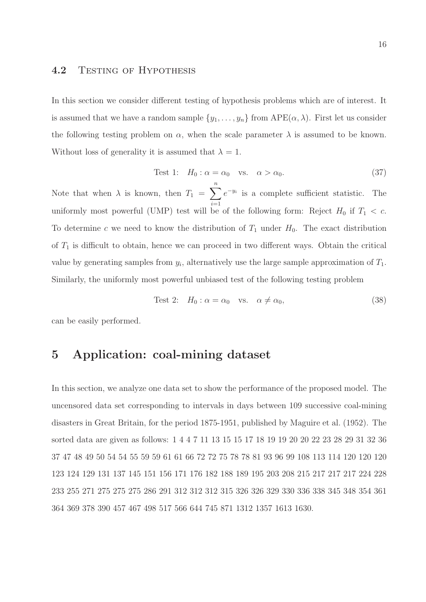#### 4.2 TESTING OF HYPOTHESIS

In this section we consider different testing of hypothesis problems which are of interest. It is assumed that we have a random sample  $\{y_1, \ldots, y_n\}$  from  $\text{APE}(\alpha, \lambda)$ . First let us consider the following testing problem on  $\alpha$ , when the scale parameter  $\lambda$  is assumed to be known. Without loss of generality it is assumed that  $\lambda = 1$ .

Test 1: 
$$
H_0: \alpha = \alpha_0
$$
 vs.  $\alpha > \alpha_0$ . (37)

Note that when  $\lambda$  is known, then  $T_1 = \sum_{n=1}^n$  $i=1$  $e^{-y_i}$  is a complete sufficient statistic. The uniformly most powerful (UMP) test will be of the following form: Reject  $H_0$  if  $T_1 < c$ . To determine c we need to know the distribution of  $T_1$  under  $H_0$ . The exact distribution of  $T_1$  is difficult to obtain, hence we can proceed in two different ways. Obtain the critical value by generating samples from  $y_i$ , alternatively use the large sample approximation of  $T_1$ . Similarly, the uniformly most powerful unbiased test of the following testing problem

Test 2: 
$$
H_0: \alpha = \alpha_0
$$
 vs.  $\alpha \neq \alpha_0$ , (38)

can be easily performed.

### 5 Application: coal-mining dataset

In this section, we analyze one data set to show the performance of the proposed model. The uncensored data set corresponding to intervals in days between 109 successive coal-mining disasters in Great Britain, for the period 1875-1951, published by Maguire et al. (1952). The sorted data are given as follows: 1 4 4 7 11 13 15 15 17 18 19 19 20 20 22 23 28 29 31 32 36 37 47 48 49 50 54 54 55 59 59 61 61 66 72 72 75 78 78 81 93 96 99 108 113 114 120 120 120 123 124 129 131 137 145 151 156 171 176 182 188 189 195 203 208 215 217 217 217 224 228 233 255 271 275 275 275 286 291 312 312 312 315 326 326 329 330 336 338 345 348 354 361 364 369 378 390 457 467 498 517 566 644 745 871 1312 1357 1613 1630.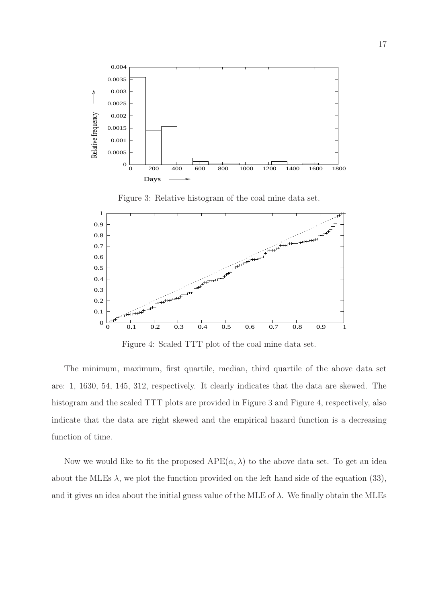

 1 0.9 0.8  $+ +$  0.7 0.6 ▁▁▁▁▁▔<br>┢╈<sup>╋╋╋╋</sup> 0.5 0.4 0.3 0.2 0.1 0 0 0.1 0.2 0.3 0.4 0.5 0.6 0.7 0.8 0.9 1

Figure 3: Relative histogram of the coal mine data set.

Figure 4: Scaled TTT plot of the coal mine data set.

The minimum, maximum, first quartile, median, third quartile of the above data set are: 1, 1630, 54, 145, 312, respectively. It clearly indicates that the data are skewed. The histogram and the scaled TTT plots are provided in Figure 3 and Figure 4, respectively, also indicate that the data are right skewed and the empirical hazard function is a decreasing function of time.

Now we would like to fit the proposed  $APE(\alpha, \lambda)$  to the above data set. To get an idea about the MLEs  $\lambda$ , we plot the function provided on the left hand side of the equation (33), and it gives an idea about the initial guess value of the MLE of  $\lambda$ . We finally obtain the MLEs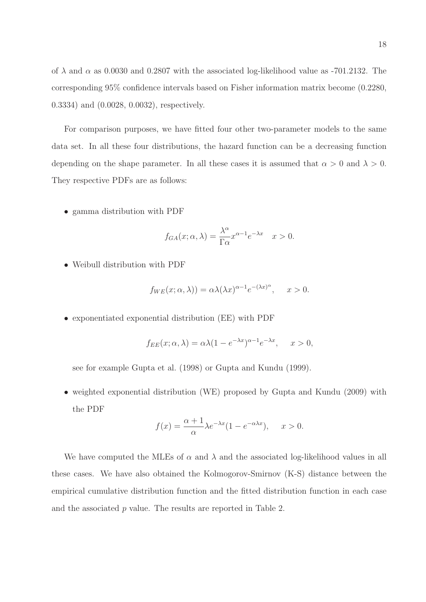of  $\lambda$  and  $\alpha$  as 0.0030 and 0.2807 with the associated log-likelihood value as -701.2132. The corresponding 95% confidence intervals based on Fisher information matrix become (0.2280, 0.3334) and (0.0028, 0.0032), respectively.

For comparison purposes, we have fitted four other two-parameter models to the same data set. In all these four distributions, the hazard function can be a decreasing function depending on the shape parameter. In all these cases it is assumed that  $\alpha > 0$  and  $\lambda > 0$ . They respective PDFs are as follows:

• gamma distribution with PDF

$$
f_{GA}(x; \alpha, \lambda) = \frac{\lambda^{\alpha}}{\Gamma \alpha} x^{\alpha - 1} e^{-\lambda x} \quad x > 0.
$$

• Weibull distribution with PDF

$$
f_{WE}(x; \alpha, \lambda)) = \alpha \lambda (\lambda x)^{\alpha - 1} e^{-(\lambda x)^{\alpha}}, \quad x > 0.
$$

• exponentiated exponential distribution (EE) with PDF

$$
f_{EE}(x; \alpha, \lambda) = \alpha \lambda (1 - e^{-\lambda x})^{\alpha - 1} e^{-\lambda x}, \quad x > 0,
$$

see for example Gupta et al. (1998) or Gupta and Kundu (1999).

• weighted exponential distribution (WE) proposed by Gupta and Kundu (2009) with the PDF

$$
f(x) = \frac{\alpha + 1}{\alpha} \lambda e^{-\lambda x} (1 - e^{-\alpha \lambda x}), \quad x > 0.
$$

We have computed the MLEs of  $\alpha$  and  $\lambda$  and the associated log-likelihood values in all these cases. We have also obtained the Kolmogorov-Smirnov (K-S) distance between the empirical cumulative distribution function and the fitted distribution function in each case and the associated p value. The results are reported in Table 2.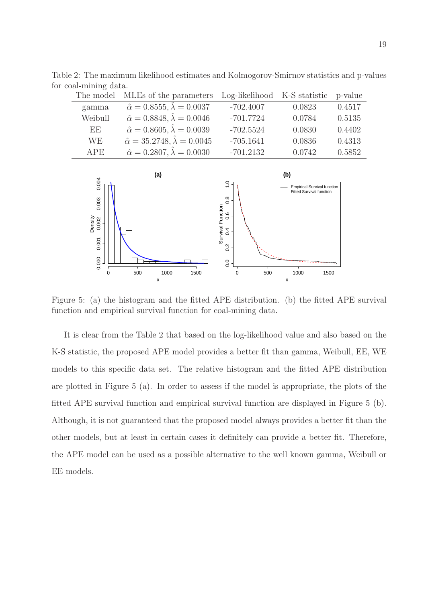|  | The model  | MLEs of the parameters                           | Log-likelihood K-S statistic p-value |        |        |  |  |  |
|--|------------|--------------------------------------------------|--------------------------------------|--------|--------|--|--|--|
|  | gamma      | $\hat{\alpha} = 0.8555, \hat{\lambda} = 0.0037$  | $-702.4007$                          | 0.0823 | 0.4517 |  |  |  |
|  | Weibull    | $\hat{\alpha} = 0.8848, \hat{\lambda} = 0.0046$  | $-701.7724$                          | 0.0784 | 0.5135 |  |  |  |
|  | EE         | $\hat{\alpha} = 0.8605, \hat{\lambda} = 0.0039$  | $-702.5524$                          | 0.0830 | 0.4402 |  |  |  |
|  | WE.        | $\hat{\alpha} = 35.2748, \hat{\lambda} = 0.0045$ | $-705.1641$                          | 0.0836 | 0.4313 |  |  |  |
|  | <b>APE</b> | $\hat{\alpha} = 0.2807, \hat{\lambda} = 0.0030$  | $-701.2132$                          | 0.0742 | 0.5852 |  |  |  |

Table 2: The maximum likelihood estimates and Kolmogorov-Smirnov statistics and p-values for coal-mining data.



Figure 5: (a) the histogram and the fitted APE distribution. (b) the fitted APE survival function and empirical survival function for coal-mining data.

It is clear from the Table 2 that based on the log-likelihood value and also based on the K-S statistic, the proposed APE model provides a better fit than gamma, Weibull, EE, WE models to this specific data set. The relative histogram and the fitted APE distribution are plotted in Figure 5 (a). In order to assess if the model is appropriate, the plots of the fitted APE survival function and empirical survival function are displayed in Figure 5 (b). Although, it is not guaranteed that the proposed model always provides a better fit than the other models, but at least in certain cases it definitely can provide a better fit. Therefore, the APE model can be used as a possible alternative to the well known gamma, Weibull or EE models.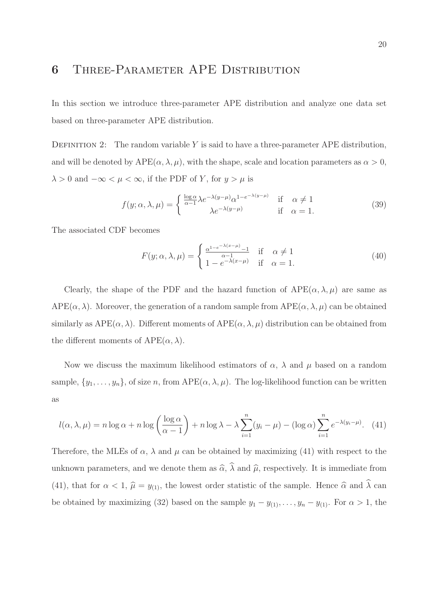### 6 Three-Parameter APE Distribution

In this section we introduce three-parameter APE distribution and analyze one data set based on three-parameter APE distribution.

DEFINITION 2: The random variable Y is said to have a three-parameter APE distribution, and will be denoted by  $APE(\alpha, \lambda, \mu)$ , with the shape, scale and location parameters as  $\alpha > 0$ ,  $\lambda > 0$  and  $-\infty < \mu < \infty$ , if the PDF of Y, for  $y > \mu$  is

$$
f(y; \alpha, \lambda, \mu) = \begin{cases} \frac{\log \alpha}{\alpha - 1} \lambda e^{-\lambda(y - \mu)} \alpha^{1 - e^{-\lambda(y - \mu)}} & \text{if } \alpha \neq 1\\ \lambda e^{-\lambda(y - \mu)} & \text{if } \alpha = 1. \end{cases}
$$
(39)

The associated CDF becomes

$$
F(y; \alpha, \lambda, \mu) = \begin{cases} \frac{\alpha^{1-e^{-\lambda(x-\mu)}-1}}{\alpha-1} & \text{if } \alpha \neq 1\\ 1-e^{-\lambda(x-\mu)} & \text{if } \alpha = 1. \end{cases}
$$
 (40)

Clearly, the shape of the PDF and the hazard function of  $APE(\alpha, \lambda, \mu)$  are same as  $APE(\alpha, \lambda)$ . Moreover, the generation of a random sample from  $APE(\alpha, \lambda, \mu)$  can be obtained similarly as  $APE(\alpha, \lambda)$ . Different moments of  $APE(\alpha, \lambda, \mu)$  distribution can be obtained from the different moments of  $\text{APE}(\alpha, \lambda)$ .

Now we discuss the maximum likelihood estimators of  $\alpha$ ,  $\lambda$  and  $\mu$  based on a random sample,  $\{y_1, \ldots, y_n\}$ , of size n, from  $\text{APE}(\alpha, \lambda, \mu)$ . The log-likelihood function can be written as

$$
l(\alpha, \lambda, \mu) = n \log \alpha + n \log \left( \frac{\log \alpha}{\alpha - 1} \right) + n \log \lambda - \lambda \sum_{i=1}^{n} (y_i - \mu) - (\log \alpha) \sum_{i=1}^{n} e^{-\lambda (y_i - \mu)}. \tag{41}
$$

Therefore, the MLEs of  $\alpha$ ,  $\lambda$  and  $\mu$  can be obtained by maximizing (41) with respect to the unknown parameters, and we denote them as  $\widehat{\alpha}$ ,  $\widehat{\lambda}$  and  $\widehat{\mu}$ , respectively. It is immediate from (41), that for  $\alpha < 1$ ,  $\hat{\mu} = y_{(1)}$ , the lowest order statistic of the sample. Hence  $\hat{\alpha}$  and  $\hat{\lambda}$  can be obtained by maximizing (32) based on the sample  $y_1 - y_{(1)}, \ldots, y_n - y_{(1)}$ . For  $\alpha > 1$ , the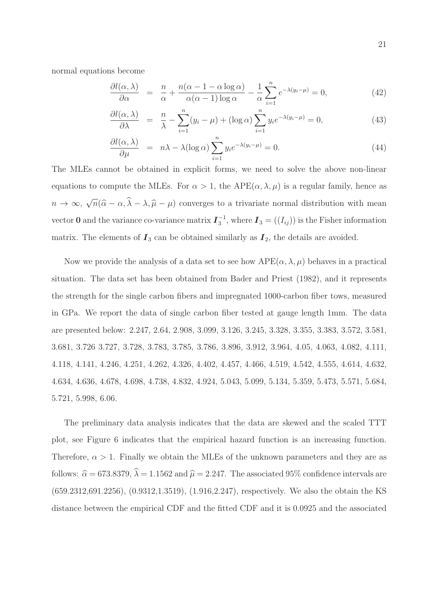normal equations become

$$
\frac{\partial l(\alpha,\lambda)}{\partial \alpha} = \frac{n}{\alpha} + \frac{n(\alpha - 1 - \alpha \log \alpha)}{\alpha(\alpha - 1) \log \alpha} - \frac{1}{\alpha} \sum_{i=1}^{n} e^{-\lambda(y_i - \mu)} = 0, \tag{42}
$$

$$
\frac{\partial l(\alpha,\lambda)}{\partial \lambda} = \frac{n}{\lambda} - \sum_{i=1}^{n} (y_i - \mu) + (\log \alpha) \sum_{i=1}^{n} y_i e^{-\lambda (y_i - \mu)} = 0,
$$
\n(43)

$$
\frac{\partial l(\alpha,\lambda)}{\partial \mu} = n\lambda - \lambda (\log \alpha) \sum_{i=1}^{n} y_i e^{-\lambda (y_i - \mu)} = 0.
$$
\n(44)

The MLEs cannot be obtained in explicit forms, we need to solve the above non-linear equations to compute the MLEs. For  $\alpha > 1$ , the APE( $\alpha, \lambda, \mu$ ) is a regular family, hence as  $n \to \infty$ ,  $\sqrt{n}(\hat{\alpha} - \alpha, \hat{\lambda} - \lambda, \hat{\mu} - \mu)$  converges to a trivariate normal distribution with mean vector 0 and the variance co-variance matrix  $I_3^{-1}$  $J_3^{-1}$ , where  $I_3 = ((I_{ij}))$  is the Fisher information matrix. The elements of  $I_3$  can be obtained similarly as  $I_2$ , the details are avoided.

Now we provide the analysis of a data set to see how  $APE(\alpha, \lambda, \mu)$  behaves in a practical situation. The data set has been obtained from Bader and Priest (1982), and it represents the strength for the single carbon fibers and impregnated 1000-carbon fiber tows, measured in GPa. We report the data of single carbon fiber tested at gauge length 1mm. The data are presented below: 2.247, 2.64, 2.908, 3.099, 3.126, 3.245, 3.328, 3.355, 3.383, 3.572, 3.581, 3.681, 3.726 3.727, 3.728, 3.783, 3.785, 3.786, 3.896, 3.912, 3.964, 4.05, 4.063, 4.082, 4.111, 4.118, 4.141, 4.246, 4.251, 4.262, 4.326, 4.402, 4.457, 4.466, 4.519, 4.542, 4.555, 4.614, 4.632, 4.634, 4.636, 4.678, 4.698, 4.738, 4.832, 4.924, 5.043, 5.099, 5.134, 5.359, 5.473, 5.571, 5.684, 5.721, 5.998, 6.06.

The preliminary data analysis indicates that the data are skewed and the scaled TTT plot, see Figure 6 indicates that the empirical hazard function is an increasing function. Therefore,  $\alpha > 1$ . Finally we obtain the MLEs of the unknown parameters and they are as follows:  $\hat{\alpha} = 673.8379$ ,  $\hat{\lambda} = 1.1562$  and  $\hat{\mu} = 2.247$ . The associated 95% confidence intervals are (659.2312,691.2256), (0.9312,1.3519), (1.916,2.247), respectively. We also the obtain the KS distance between the empirical CDF and the fitted CDF and it is 0.0925 and the associated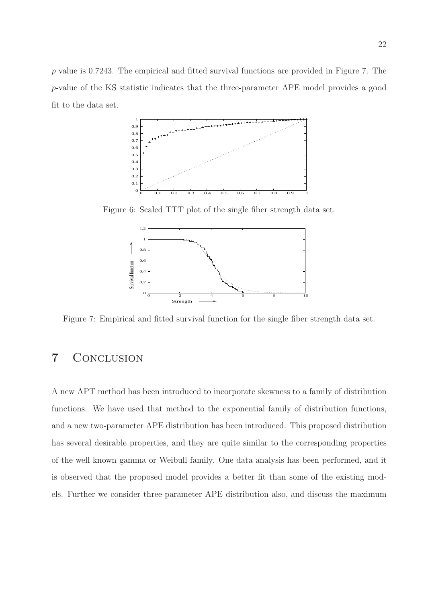$p$  value is 0.7243. The empirical and fitted survival functions are provided in Figure 7. The p-value of the KS statistic indicates that the three-parameter APE model provides a good fit to the data set.



Figure 6: Scaled TTT plot of the single fiber strength data set.



Figure 7: Empirical and fitted survival function for the single fiber strength data set.

### 7 Conclusion

A new APT method has been introduced to incorporate skewness to a family of distribution functions. We have used that method to the exponential family of distribution functions, and a new two-parameter APE distribution has been introduced. This proposed distribution has several desirable properties, and they are quite similar to the corresponding properties of the well known gamma or Weibull family. One data analysis has been performed, and it is observed that the proposed model provides a better fit than some of the existing models. Further we consider three-parameter APE distribution also, and discuss the maximum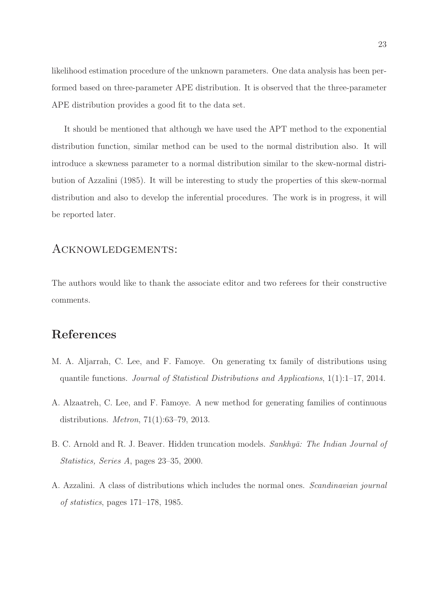likelihood estimation procedure of the unknown parameters. One data analysis has been performed based on three-parameter APE distribution. It is observed that the three-parameter APE distribution provides a good fit to the data set.

It should be mentioned that although we have used the APT method to the exponential distribution function, similar method can be used to the normal distribution also. It will introduce a skewness parameter to a normal distribution similar to the skew-normal distribution of Azzalini (1985). It will be interesting to study the properties of this skew-normal distribution and also to develop the inferential procedures. The work is in progress, it will be reported later.

#### Acknowledgements:

The authors would like to thank the associate editor and two referees for their constructive comments.

### References

- M. A. Aljarrah, C. Lee, and F. Famoye. On generating tx family of distributions using quantile functions. *Journal of Statistical Distributions and Applications*, 1(1):1–17, 2014.
- A. Alzaatreh, C. Lee, and F. Famoye. A new method for generating families of continuous distributions. *Metron*, 71(1):63–79, 2013.
- B. C. Arnold and R. J. Beaver. Hidden truncation models. *Sankhy¯a: The Indian Journal of Statistics, Series A*, pages 23–35, 2000.
- A. Azzalini. A class of distributions which includes the normal ones. *Scandinavian journal of statistics*, pages 171–178, 1985.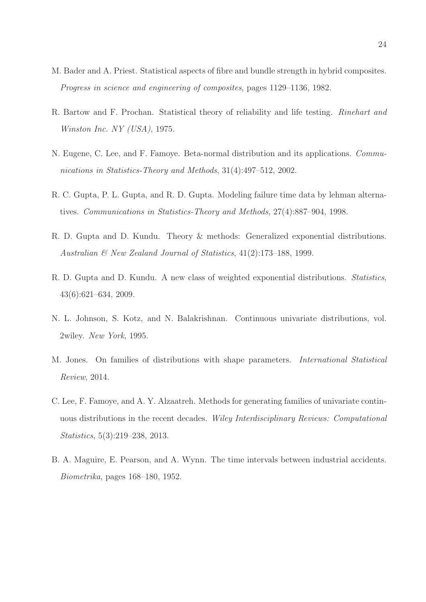- M. Bader and A. Priest. Statistical aspects of fibre and bundle strength in hybrid composites. *Progress in science and engineering of composites*, pages 1129–1136, 1982.
- R. Bartow and F. Prochan. Statistical theory of reliability and life testing. *Rinehart and Winston Inc. NY (USA)*, 1975.
- N. Eugene, C. Lee, and F. Famoye. Beta-normal distribution and its applications. *Communications in Statistics-Theory and Methods*, 31(4):497–512, 2002.
- R. C. Gupta, P. L. Gupta, and R. D. Gupta. Modeling failure time data by lehman alternatives. *Communications in Statistics-Theory and Methods*, 27(4):887–904, 1998.
- R. D. Gupta and D. Kundu. Theory & methods: Generalized exponential distributions. *Australian & New Zealand Journal of Statistics*, 41(2):173–188, 1999.
- R. D. Gupta and D. Kundu. A new class of weighted exponential distributions. *Statistics*, 43(6):621–634, 2009.
- N. L. Johnson, S. Kotz, and N. Balakrishnan. Continuous univariate distributions, vol. 2wiley. *New York*, 1995.
- M. Jones. On families of distributions with shape parameters. *International Statistical Review*, 2014.
- C. Lee, F. Famoye, and A. Y. Alzaatreh. Methods for generating families of univariate continuous distributions in the recent decades. *Wiley Interdisciplinary Reviews: Computational Statistics*, 5(3):219–238, 2013.
- B. A. Maguire, E. Pearson, and A. Wynn. The time intervals between industrial accidents. *Biometrika*, pages 168–180, 1952.